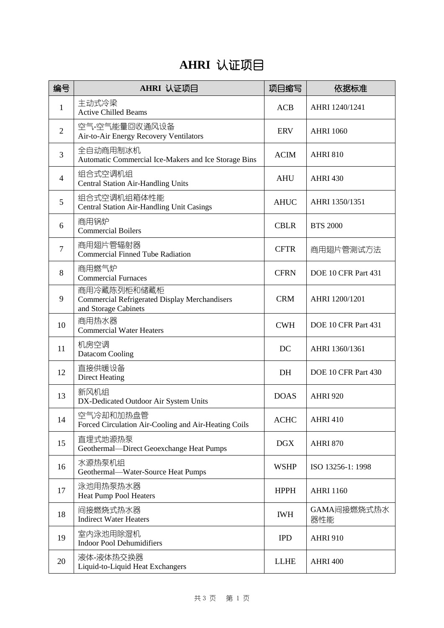## **AHRI** 认证项目

| 编号             | AHRI 认证项目                                                                                   | 项目缩写        | 依据标准                |
|----------------|---------------------------------------------------------------------------------------------|-------------|---------------------|
| $\mathbf{1}$   | 主动式冷梁<br><b>Active Chilled Beams</b>                                                        | <b>ACB</b>  | AHRI 1240/1241      |
| $\overline{2}$ | 空气-空气能量回收通风设备<br>Air-to-Air Energy Recovery Ventilators                                     | <b>ERV</b>  | <b>AHRI 1060</b>    |
| 3              | 全自动商用制冰机<br>Automatic Commercial Ice-Makers and Ice Storage Bins                            | <b>ACIM</b> | <b>AHRI 810</b>     |
| 4              | 组合式空调机组<br><b>Central Station Air-Handling Units</b>                                        | <b>AHU</b>  | <b>AHRI 430</b>     |
| 5              | 组合式空调机组箱体性能<br><b>Central Station Air-Handling Unit Casings</b>                             | <b>AHUC</b> | AHRI 1350/1351      |
| 6              | 商用锅炉<br><b>Commercial Boilers</b>                                                           | <b>CBLR</b> | <b>BTS 2000</b>     |
| 7              | 商用翅片管辐射器<br><b>Commercial Finned Tube Radiation</b>                                         | <b>CFTR</b> | 商用翅片管测试方法           |
| 8              | 商用燃气炉<br><b>Commercial Furnaces</b>                                                         | <b>CFRN</b> | DOE 10 CFR Part 431 |
| 9              | 商用冷藏陈列柜和储藏柜<br><b>Commercial Refrigerated Display Merchandisers</b><br>and Storage Cabinets | <b>CRM</b>  | AHRI 1200/1201      |
| 10             | 商用热水器<br><b>Commercial Water Heaters</b>                                                    | <b>CWH</b>  | DOE 10 CFR Part 431 |
| 11             | 机房空调<br>Datacom Cooling                                                                     | DC          | AHRI 1360/1361      |
| 12             | 直接供暖设备<br><b>Direct Heating</b>                                                             | DH          | DOE 10 CFR Part 430 |
| 13             | 新风机组<br>DX-Dedicated Outdoor Air System Units                                               | <b>DOAS</b> | <b>AHRI 920</b>     |
| 14             | 空气冷却和加热盘管<br>Forced Circulation Air-Cooling and Air-Heating Coils                           | <b>ACHC</b> | <b>AHRI 410</b>     |
| 15             | 直埋式地源热泵<br>Geothermal-Direct Geoexchange Heat Pumps                                         | <b>DGX</b>  | <b>AHRI 870</b>     |
| 16             | 水源热泵机组<br>Geothermal-Water-Source Heat Pumps                                                | <b>WSHP</b> | ISO 13256-1: 1998   |
| 17             | 泳池用热泵热水器<br><b>Heat Pump Pool Heaters</b>                                                   | <b>HPPH</b> | <b>AHRI 1160</b>    |
| 18             | 间接燃烧式热水器<br><b>Indirect Water Heaters</b>                                                   | <b>IWH</b>  | GAMA间接燃烧式热水<br>器性能  |
| 19             | 室内泳池用除湿机<br><b>Indoor Pool Dehumidifiers</b>                                                | <b>IPD</b>  | <b>AHRI 910</b>     |
| 20             | 液体-液体热交换器<br>Liquid-to-Liquid Heat Exchangers                                               | <b>LLHE</b> | AHRI 400            |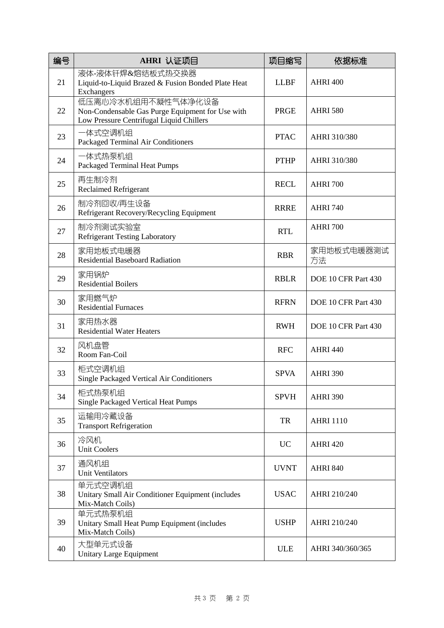| 编号 | AHRI 认证项目                                                                                                          | 项目缩写        | 依据标准                |
|----|--------------------------------------------------------------------------------------------------------------------|-------------|---------------------|
| 21 | 液体-液体钎焊&熔结板式热交换器<br>Liquid-to-Liquid Brazed & Fusion Bonded Plate Heat<br>Exchangers                               | <b>LLBF</b> | <b>AHRI 400</b>     |
| 22 | 低压离心冷水机组用不凝性气体净化设备<br>Non-Condensable Gas Purge Equipment for Use with<br>Low Pressure Centrifugal Liquid Chillers | PRGE        | <b>AHRI 580</b>     |
| 23 | 一体式空调机组<br>Packaged Terminal Air Conditioners                                                                      | <b>PTAC</b> | AHRI 310/380        |
| 24 | 一体式热泵机组<br>Packaged Terminal Heat Pumps                                                                            | <b>PTHP</b> | AHRI 310/380        |
| 25 | 再生制冷剂<br><b>Reclaimed Refrigerant</b>                                                                              | <b>RECL</b> | <b>AHRI 700</b>     |
| 26 | 制冷剂回收/再生设备<br>Refrigerant Recovery/Recycling Equipment                                                             | <b>RRRE</b> | <b>AHRI 740</b>     |
| 27 | 制冷剂测试实验室<br><b>Refrigerant Testing Laboratory</b>                                                                  | <b>RTL</b>  | <b>AHRI 700</b>     |
| 28 | 家用地板式电暖器<br><b>Residential Baseboard Radiation</b>                                                                 | <b>RBR</b>  | 家用地板式电暖器测试<br>方法    |
| 29 | 家用锅炉<br><b>Residential Boilers</b>                                                                                 | <b>RBLR</b> | DOE 10 CFR Part 430 |
| 30 | 家用燃气炉<br><b>Residential Furnaces</b>                                                                               | <b>RFRN</b> | DOE 10 CFR Part 430 |
| 31 | 家用热水器<br><b>Residential Water Heaters</b>                                                                          | <b>RWH</b>  | DOE 10 CFR Part 430 |
| 32 | 风机盘管<br>Room Fan-Coil                                                                                              | <b>RFC</b>  | <b>AHRI 440</b>     |
| 33 | 柜式空调机组<br><b>Single Packaged Vertical Air Conditioners</b>                                                         | <b>SPVA</b> | <b>AHRI 390</b>     |
| 34 | 柜式热泵机组<br><b>Single Packaged Vertical Heat Pumps</b>                                                               | <b>SPVH</b> | <b>AHRI 390</b>     |
| 35 | 运输用冷藏设备<br><b>Transport Refrigeration</b>                                                                          | TR          | <b>AHRI 1110</b>    |
| 36 | 冷风机<br><b>Unit Coolers</b>                                                                                         | <b>UC</b>   | <b>AHRI 420</b>     |
| 37 | 通风机组<br><b>Unit Ventilators</b>                                                                                    | <b>UVNT</b> | <b>AHRI 840</b>     |
| 38 | 单元式空调机组<br>Unitary Small Air Conditioner Equipment (includes<br>Mix-Match Coils)                                   | <b>USAC</b> | AHRI 210/240        |
| 39 | 单元式热泵机组<br>Unitary Small Heat Pump Equipment (includes<br>Mix-Match Coils)                                         | <b>USHP</b> | AHRI 210/240        |
| 40 | 大型单元式设备<br><b>Unitary Large Equipment</b>                                                                          | <b>ULE</b>  | AHRI 340/360/365    |